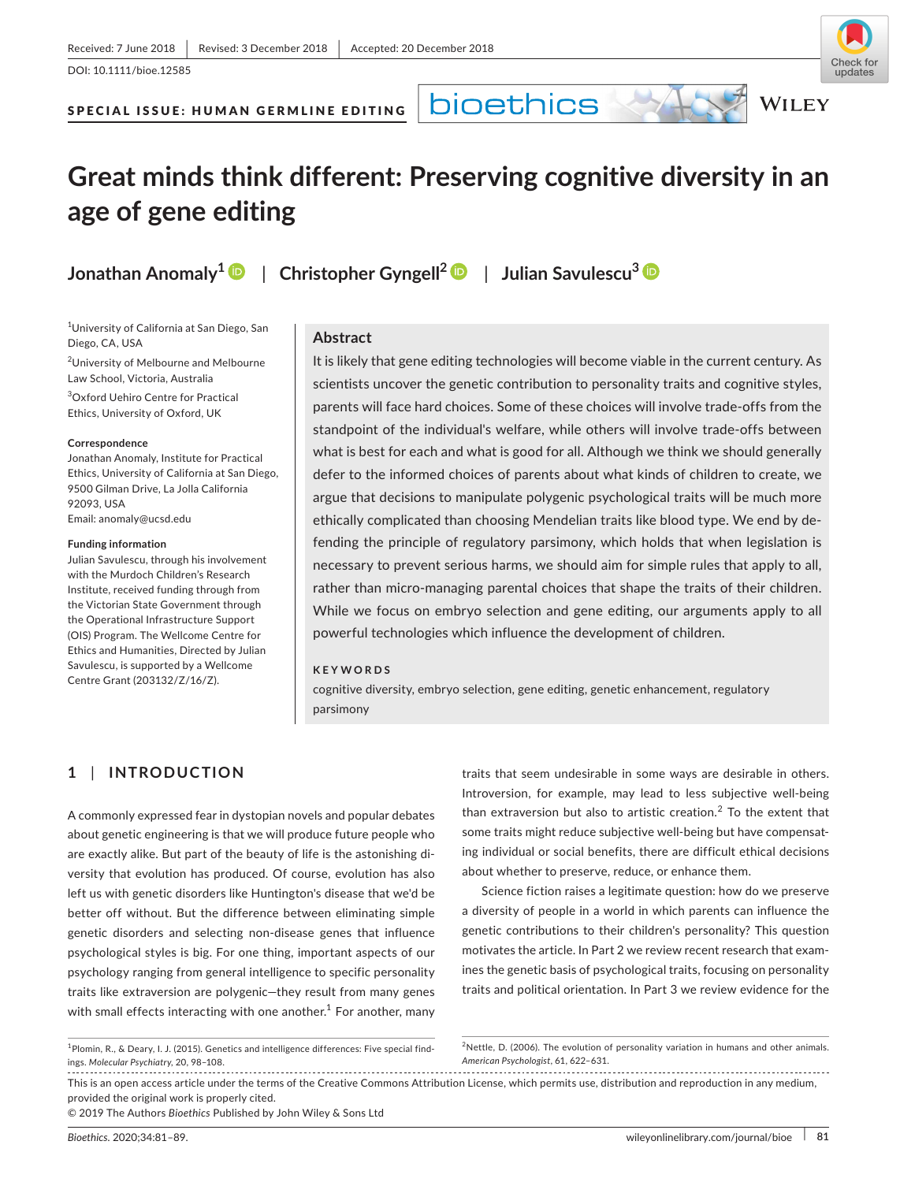DOI: 10.1111/bioe.12585



**WILEY** 

SPECIAL ISSUE: HUMAN GERMLINE EDITING

**bioethics** 

# **Great minds think different: Preserving cognitive diversity in an age of gene editing**

**Jonathan Anomaly1** | **Christopher Gyngell<sup>2</sup>** | **Julian Savulescu[3](https://orcid.org/0000-0003-1691-6403)**

1 University of California at San Diego, San Diego, CA, USA

2 University of Melbourne and Melbourne Law School, Victoria, Australia 3 Oxford Uehiro Centre for Practical

Ethics, University of Oxford, UK

**Correspondence**

Jonathan Anomaly, Institute for Practical Ethics, University of California at San Diego, 9500 Gilman Drive, La Jolla California 92093, USA Email: [anomaly@ucsd.edu](mailto:anomaly@ucsd.edu)

**Funding information**

Julian Savulescu, through his involvement with the Murdoch Children's Research Institute, received funding through from the Victorian State Government through the Operational Infrastructure Support (OIS) Program. The Wellcome Centre for Ethics and Humanities, Directed by Julian Savulescu, is supported by a Wellcome Centre Grant (203132/Z/16/Z).

### **Abstract**

It is likely that gene editing technologies will become viable in the current century. As scientists uncover the genetic contribution to personality traits and cognitive styles, parents will face hard choices. Some of these choices will involve trade‐offs from the standpoint of the individual's welfare, while others will involve trade‐offs between what is best for each and what is good for all. Although we think we should generally defer to the informed choices of parents about what kinds of children to create, we argue that decisions to manipulate polygenic psychological traits will be much more ethically complicated than choosing Mendelian traits like blood type. We end by de‐ fending the principle of regulatory parsimony, which holds that when legislation is necessary to prevent serious harms, we should aim for simple rules that apply to all, rather than micro‐managing parental choices that shape the traits of their children. While we focus on embryo selection and gene editing, our arguments apply to all powerful technologies which influence the development of children.

#### **KEYWORDS**

cognitive diversity, embryo selection, gene editing, genetic enhancement, regulatory parsimony

# **1** | **INTRODUCTION**

A commonly expressed fear in dystopian novels and popular debates about genetic engineering is that we will produce future people who are exactly alike. But part of the beauty of life is the astonishing di‐ versity that evolution has produced. Of course, evolution has also left us with genetic disorders like Huntington's disease that we'd be better off without. But the difference between eliminating simple genetic disorders and selecting non‐disease genes that influence psychological styles is big. For one thing, important aspects of our psychology ranging from general intelligence to specific personality traits like extraversion are polygenic—they result from many genes with small effects interacting with one another.<sup>1</sup> For another, many

traits that seem undesirable in some ways are desirable in others. Introversion, for example, may lead to less subjective well‐being than extraversion but also to artistic creation. $<sup>2</sup>$  To the extent that</sup> some traits might reduce subjective well-being but have compensating individual or social benefits, there are difficult ethical decisions about whether to preserve, reduce, or enhance them.

Science fiction raises a legitimate question: how do we preserve a diversity of people in a world in which parents can influence the genetic contributions to their children's personality? This question motivates the article. In Part 2 we review recent research that exam‐ ines the genetic basis of psychological traits, focusing on personality traits and political orientation. In Part 3 we review evidence for the

This is an open access article under the terms of the [Creative Commons Attribution](http://creativecommons.org/licenses/by/4.0/) License, which permits use, distribution and reproduction in any medium, provided the original work is properly cited.

© 2019 The Authors *Bioethics* Published by John Wiley & Sons Ltd

<sup>&</sup>lt;sup>1</sup>Plomin, R., & Deary, I. J. (2015). Genetics and intelligence differences: Five special findings. *Molecular Psychiatry,* 20, 98–108.

<sup>&</sup>lt;sup>2</sup>Nettle, D. (2006). The evolution of personality variation in humans and other animals. *American Psychologist*, 61, 622–631.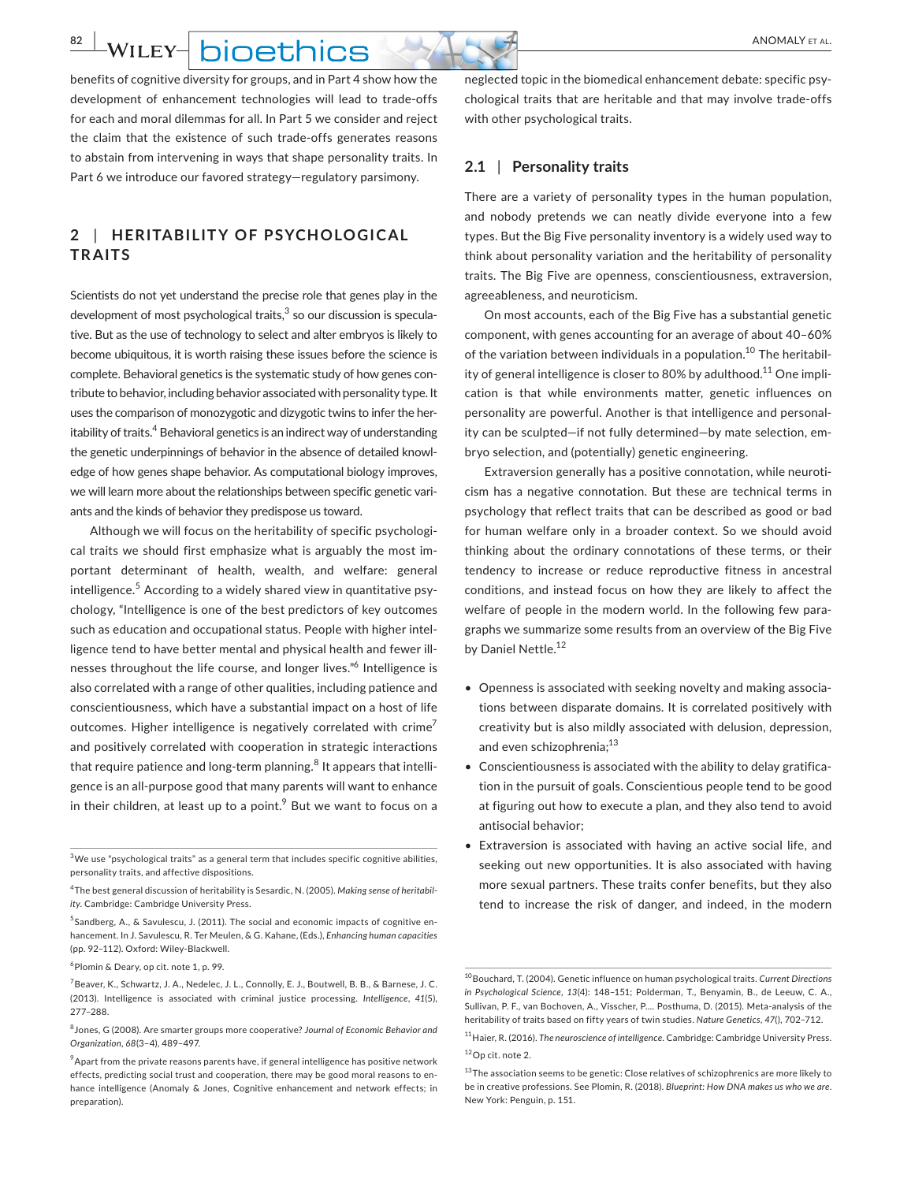**WILEY-** hinething

benefits of cognitive diversity for groups, and in Part 4 show how the development of enhancement technologies will lead to trade‐offs for each and moral dilemmas for all. In Part 5 we consider and reject the claim that the existence of such trade‐offs generates reasons to abstain from intervening in ways that shape personality traits. In Part 6 we introduce our favored strategy—regulatory parsimony.

# **2** | **HERITABILIT Y OF PSYCHOLOGIC AL TRAITS**

Scientists do not yet understand the precise role that genes play in the development of most psychological traits, $3$  so our discussion is speculative. But as the use of technology to select and alter embryos is likely to become ubiquitous, it is worth raising these issues before the science is complete. Behavioral genetics is the systematic study of how genes con‐ tribute to behavior, including behavior associated with personality type. It uses the comparison of monozygotic and dizygotic twins to infer the her‐ itability of traits.<sup>4</sup> Behavioral genetics is an indirect way of understanding the genetic underpinnings of behavior in the absence of detailed knowl‐ edge of how genes shape behavior. As computational biology improves, we will learn more about the relationships between specific genetic variants and the kinds of behavior they predispose us toward.

Although we will focus on the heritability of specific psychologi‐ cal traits we should first emphasize what is arguably the most im‐ portant determinant of health, wealth, and welfare: general intelligence.<sup>5</sup> According to a widely shared view in quantitative psychology, "Intelligence is one of the best predictors of key outcomes such as education and occupational status. People with higher intel‐ ligence tend to have better mental and physical health and fewer ill‐ nesses throughout the life course, and longer lives."<sup>6</sup> Intelligence is also correlated with a range of other qualities, including patience and conscientiousness, which have a substantial impact on a host of life outcomes. Higher intelligence is negatively correlated with crime<sup>7</sup> and positively correlated with cooperation in strategic interactions that require patience and long-term planning.<sup>8</sup> It appears that intelligence is an all‐purpose good that many parents will want to enhance in their children, at least up to a point. $9$  But we want to focus on a

 $3$ We use "psychological traits" as a general term that includes specific cognitive abilities, personality traits, and affective dispositions.

6  Plomin & Deary, op cit. note 1, p. 99.

neglected topic in the biomedical enhancement debate: specific psy‐ chological traits that are heritable and that may involve trade‐offs with other psychological traits.

### **2.1** | **Personality traits**

There are a variety of personality types in the human population, and nobody pretends we can neatly divide everyone into a few types. But the Big Five personality inventory is a widely used way to think about personality variation and the heritability of personality traits. The Big Five are openness, conscientiousness, extraversion, agreeableness, and neuroticism.

On most accounts, each of the Big Five has a substantial genetic component, with genes accounting for an average of about 40–60% of the variation between individuals in a population.<sup>10</sup> The heritability of general intelligence is closer to 80% by adulthood.<sup>11</sup> One implication is that while environments matter, genetic influences on personality are powerful. Another is that intelligence and personal‐ ity can be sculpted—if not fully determined—by mate selection, em‐ bryo selection, and (potentially) genetic engineering.

Extraversion generally has a positive connotation, while neuroti‐ cism has a negative connotation. But these are technical terms in psychology that reflect traits that can be described as good or bad for human welfare only in a broader context. So we should avoid thinking about the ordinary connotations of these terms, or their tendency to increase or reduce reproductive fitness in ancestral conditions, and instead focus on how they are likely to affect the welfare of people in the modern world. In the following few paragraphs we summarize some results from an overview of the Big Five by Daniel Nettle.<sup>12</sup>

- Openness is associated with seeking novelty and making associa‐ tions between disparate domains. It is correlated positively with creativity but is also mildly associated with delusion, depression, and even schizophrenia;<sup>13</sup>
- Conscientiousness is associated with the ability to delay gratification in the pursuit of goals. Conscientious people tend to be good at figuring out how to execute a plan, and they also tend to avoid antisocial behavior;
- Extraversion is associated with having an active social life, and seeking out new opportunities. It is also associated with having more sexual partners. These traits confer benefits, but they also tend to increase the risk of danger, and indeed, in the modern

<sup>4</sup>  The best general discussion of heritability is Sesardic, N. (2005). *Making sense of heritability*. Cambridge: Cambridge University Press.

<sup>&</sup>lt;sup>5</sup>Sandberg, A., & Savulescu, J. (2011). The social and economic impacts of cognitive enhancement. In J. Savulescu, R. Ter Meulen, & G. Kahane, (Eds.), *Enhancing human capacities* (pp. 92–112). Oxford: Wiley‐Blackwell.

<sup>&</sup>lt;sup>7</sup> Beaver, K., Schwartz, J. A., Nedelec, J. L., Connolly, E. J., Boutwell, B. B., & Barnese, J. C. (2013). Intelligence is associated with criminal justice processing. *Intelligence*, *41*(5), 277–288.

<sup>8</sup>  Jones, G (2008). Are smarter groups more cooperative? *Journal of Economic Behavior and Organization*, *68*(3–4), 489–497.

 $^9$ Apart from the private reasons parents have, if general intelligence has positive network effects, predicting social trust and cooperation, there may be good moral reasons to en‐ hance intelligence (Anomaly & Jones, Cognitive enhancement and network effects; in preparation).

<sup>10</sup> Bouchard, T. (2004). Genetic influence on human psychological traits. *Current Directions in Psychological Science, 13*(4): 148–151; Polderman, T., Benyamin, B., de Leeuw, C. A., Sullivan, P. F., van Bochoven, A., Visscher, P.… Posthuma, D. (2015). Meta‐analysis of the heritability of traits based on fifty years of twin studies. *Nature Genetics*, *47*(), 702–712.

<sup>11</sup> Haier, R. (2016). *The neuroscience of intelligence*. Cambridge: Cambridge University Press. <sup>12</sup> Op cit. note 2.

<sup>&</sup>lt;sup>13</sup>The association seems to be genetic: Close relatives of schizophrenics are more likely to be in creative professions. See Plomin, R. (2018). *Blueprint: How DNA makes us who we are*. New York: Penguin, p. 151.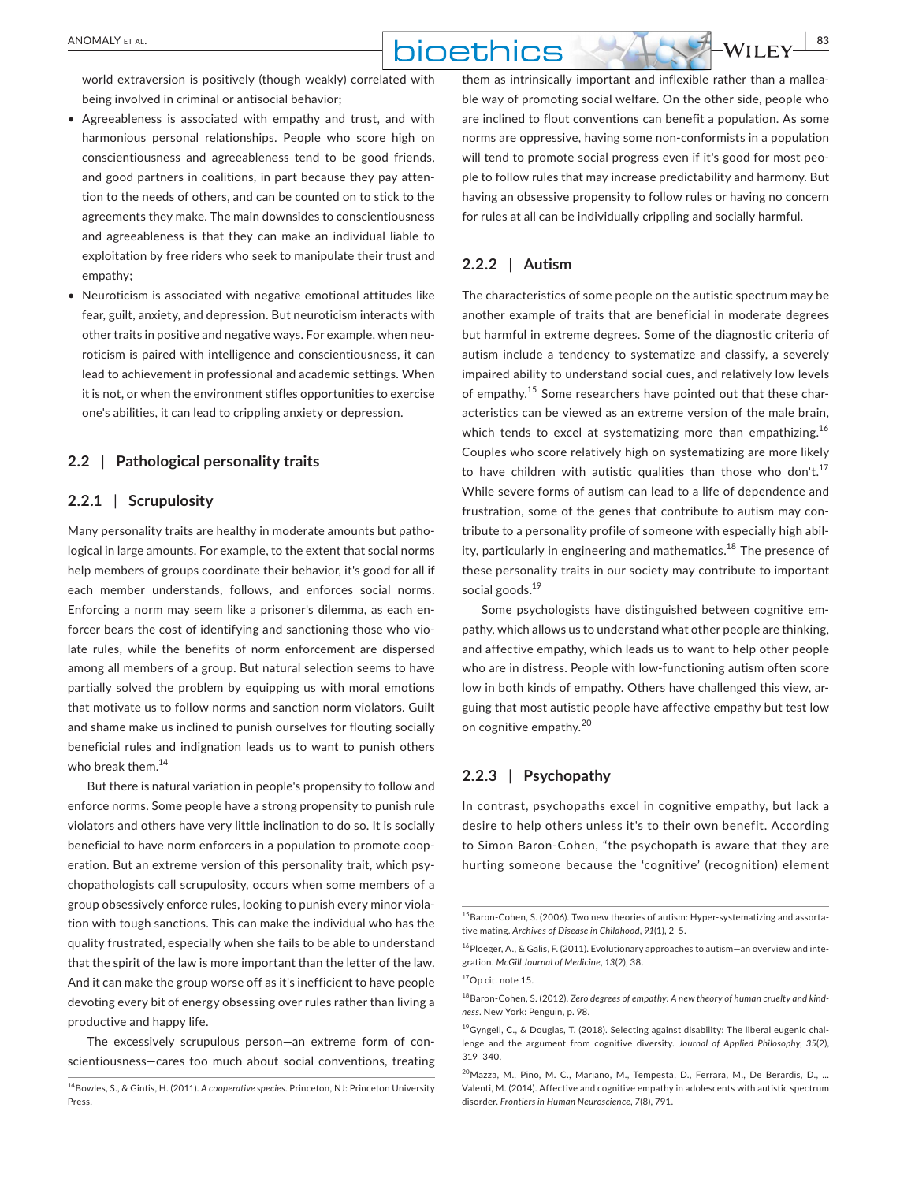world extraversion is positively (though weakly) correlated with being involved in criminal or antisocial behavior;

- Agreeableness is associated with empathy and trust, and with harmonious personal relationships. People who score high on conscientiousness and agreeableness tend to be good friends, and good partners in coalitions, in part because they pay atten‐ tion to the needs of others, and can be counted on to stick to the agreements they make. The main downsides to conscientiousness and agreeableness is that they can make an individual liable to exploitation by free riders who seek to manipulate their trust and empathy;
- Neuroticism is associated with negative emotional attitudes like fear, guilt, anxiety, and depression. But neuroticism interacts with other traits in positive and negative ways. For example, when neu‐ roticism is paired with intelligence and conscientiousness, it can lead to achievement in professional and academic settings. When it is not, or when the environment stifles opportunities to exercise one's abilities, it can lead to crippling anxiety or depression.

### **2.2** | **Pathological personality traits**

### **2.2.1** | **Scrupulosity**

Many personality traits are healthy in moderate amounts but pathological in large amounts. For example, to the extent that social norms help members of groups coordinate their behavior, it's good for all if each member understands, follows, and enforces social norms. Enforcing a norm may seem like a prisoner's dilemma, as each en‐ forcer bears the cost of identifying and sanctioning those who vio‐ late rules, while the benefits of norm enforcement are dispersed among all members of a group. But natural selection seems to have partially solved the problem by equipping us with moral emotions that motivate us to follow norms and sanction norm violators. Guilt and shame make us inclined to punish ourselves for flouting socially beneficial rules and indignation leads us to want to punish others who break them.<sup>14</sup>

But there is natural variation in people's propensity to follow and enforce norms. Some people have a strong propensity to punish rule violators and others have very little inclination to do so. It is socially beneficial to have norm enforcers in a population to promote coop‐ eration. But an extreme version of this personality trait, which psy‐ chopathologists call scrupulosity, occurs when some members of a group obsessively enforce rules, looking to punish every minor viola‐ tion with tough sanctions. This can make the individual who has the quality frustrated, especially when she fails to be able to understand that the spirit of the law is more important than the letter of the law. And it can make the group worse off as it's inefficient to have people devoting every bit of energy obsessing over rules rather than living a productive and happy life.

The excessively scrupulous person—an extreme form of con‐ scientiousness—cares too much about social conventions, treating them as intrinsically important and inflexible rather than a mallea‐ ble way of promoting social welfare. On the other side, people who are inclined to flout conventions can benefit a population. As some norms are oppressive, having some non‐conformists in a population will tend to promote social progress even if it's good for most people to follow rules that may increase predictability and harmony. But having an obsessive propensity to follow rules or having no concern for rules at all can be individually crippling and socially harmful.

## **2.2.2** | **Autism**

The characteristics of some people on the autistic spectrum may be another example of traits that are beneficial in moderate degrees but harmful in extreme degrees. Some of the diagnostic criteria of autism include a tendency to systematize and classify, a severely impaired ability to understand social cues, and relatively low levels of empathy.15  Some researchers have pointed out that these char‐ acteristics can be viewed as an extreme version of the male brain, which tends to excel at systematizing more than empathizing.<sup>16</sup> Couples who score relatively high on systematizing are more likely to have children with autistic qualities than those who don't.<sup>17</sup> While severe forms of autism can lead to a life of dependence and frustration, some of the genes that contribute to autism may con‐ tribute to a personality profile of someone with especially high abil‐ ity, particularly in engineering and mathematics.<sup>18</sup> The presence of these personality traits in our society may contribute to important social goods.<sup>19</sup>

Some psychologists have distinguished between cognitive em‐ pathy, which allows us to understand what other people are thinking, and affective empathy, which leads us to want to help other people who are in distress. People with low-functioning autism often score low in both kinds of empathy. Others have challenged this view, arguing that most autistic people have affective empathy but test low on cognitive empathy.<sup>20</sup>

#### **2.2.3** | **Psychopathy**

In contrast, psychopaths excel in cognitive empathy, but lack a desire to help others unless it's to their own benefit. According to Simon Baron‐Cohen, "the psychopath is aware that they are hurting someone because the 'cognitive' (recognition) element

<sup>14</sup> Bowles, S., & Gintis, H. (2011). *A cooperative species*. Princeton, NJ: Princeton University Press.

<sup>&</sup>lt;sup>15</sup> Baron-Cohen, S. (2006). Two new theories of autism: Hyper-systematizing and assortative mating. *Archives of Disease in Childhood*, *91*(1), 2–5.

<sup>&</sup>lt;sup>16</sup> Ploeger, A., & Galis, F. (2011). Evolutionary approaches to autism—an overview and integration. *McGill Journal of Medicine*, *13*(2), 38.

<sup>17</sup>Op cit. note 15.

<sup>18</sup> Baron‐Cohen, S. (2012). *Zero degrees of empathy: A new theory of human cruelty and kindness*. New York: Penguin, p. 98.

 $19$  Gyngell, C., & Douglas, T. (2018). Selecting against disability: The liberal eugenic challenge and the argument from cognitive diversity. *Journal of Applied Philosophy*, *35*(2), 319–340.

<sup>20</sup> Mazza, M., Pino, M. C., Mariano, M., Tempesta, D., Ferrara, M., De Berardis, D., … Valenti, M. (2014). Affective and cognitive empathy in adolescents with autistic spectrum disorder. *Frontiers in Human Neuroscience*, *7*(8), 791.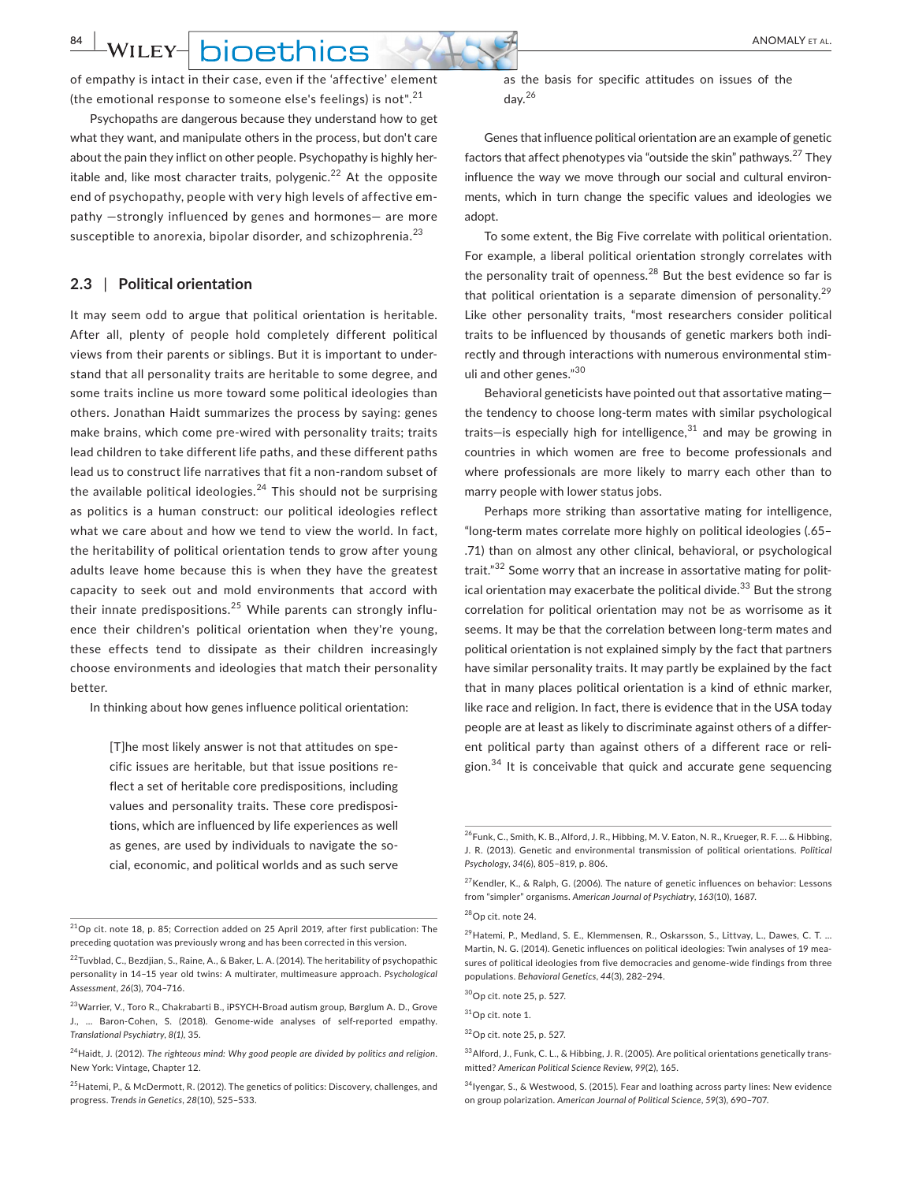**WILEY-** hinething

of empathy is intact in their case, even if the 'affective' element (the emotional response to someone else's feelings) is not".<sup>21</sup>

Psychopaths are dangerous because they understand how to get what they want, and manipulate others in the process, but don't care about the pain they inflict on other people. Psychopathy is highly her‐ itable and, like most character traits, polygenic.<sup>22</sup> At the opposite end of psychopathy, people with very high levels of affective empathy —strongly influenced by genes and hormones— are more susceptible to anorexia, bipolar disorder, and schizophrenia.<sup>23</sup>

#### **2.3** | **Political orientation**

It may seem odd to argue that political orientation is heritable. After all, plenty of people hold completely different political views from their parents or siblings. But it is important to under‐ stand that all personality traits are heritable to some degree, and some traits incline us more toward some political ideologies than others. Jonathan Haidt summarizes the process by saying: genes make brains, which come pre‐wired with personality traits; traits lead children to take different life paths, and these different paths lead us to construct life narratives that fit a non‐random subset of the available political ideologies. $24$  This should not be surprising as politics is a human construct: our political ideologies reflect what we care about and how we tend to view the world. In fact, the heritability of political orientation tends to grow after young adults leave home because this is when they have the greatest capacity to seek out and mold environments that accord with their innate predispositions.<sup>25</sup> While parents can strongly influence their children's political orientation when they're young, these effects tend to dissipate as their children increasingly choose environments and ideologies that match their personality better.

In thinking about how genes influence political orientation:

[T]he most likely answer is not that attitudes on spe‐ cific issues are heritable, but that issue positions re‐ flect a set of heritable core predispositions, including values and personality traits. These core predisposi‐ tions, which are influenced by life experiences as well as genes, are used by individuals to navigate the social, economic, and political worlds and as such serve as the basis for specific attitudes on issues of the day.<sup>26</sup>

Genes that influence political orientation are an example of genetic factors that affect phenotypes via "outside the skin" pathways.27  They influence the way we move through our social and cultural environ‐ ments, which in turn change the specific values and ideologies we adopt.

To some extent, the Big Five correlate with political orientation. For example, a liberal political orientation strongly correlates with the personality trait of openness. $^{28}$  But the best evidence so far is that political orientation is a separate dimension of personality.<sup>29</sup> Like other personality traits, "most researchers consider political traits to be influenced by thousands of genetic markers both indi‐ rectly and through interactions with numerous environmental stim‐ uli and other genes."<sup>30</sup>

Behavioral geneticists have pointed out that assortative mating the tendency to choose long‐term mates with similar psychological traits-is especially high for intelligence, $31$  and may be growing in countries in which women are free to become professionals and where professionals are more likely to marry each other than to marry people with lower status jobs.

Perhaps more striking than assortative mating for intelligence, "long‐term mates correlate more highly on political ideologies (.65– .71) than on almost any other clinical, behavioral, or psychological trait."<sup>32</sup> Some worry that an increase in assortative mating for polit‐ ical orientation may exacerbate the political divide.<sup>33</sup> But the strong correlation for political orientation may not be as worrisome as it seems. It may be that the correlation between long-term mates and political orientation is not explained simply by the fact that partners have similar personality traits. It may partly be explained by the fact that in many places political orientation is a kind of ethnic marker, like race and religion. In fact, there is evidence that in the USA today people are at least as likely to discriminate against others of a differ‐ ent political party than against others of a different race or religion.<sup>34</sup> It is conceivable that quick and accurate gene sequencing

 $^{21}$ Op cit. note 18, p. 85; Correction added on 25 April 2019, after first publication: The preceding quotation was previously wrong and has been corrected in this version.

<sup>22</sup> Tuvblad, C., Bezdjian, S., Raine, A., & Baker, L. A. (2014). The heritability of psychopathic personality in 14–15 year old twins: A multirater, multimeasure approach. *Psychological Assessment*, *26*(3), 704–716.

<sup>23</sup> Warrier, V., Toro R., Chakrabarti B., iPSYCH‐Broad autism group, Børglum A. D., Grove J., … Baron‐Cohen, S. (2018). Genome‐wide analyses of self‐reported empathy. *Translational Psychiatry*, *8(1),* 35.

<sup>24</sup> Haidt, J. (2012). *The righteous mind: Why good people are divided by politics and religion*. New York: Vintage, Chapter 12.

<sup>25</sup>Hatemi, P., & McDermott, R. (2012). The genetics of politics: Discovery, challenges, and progress. *Trends in Genetics*, *28*(10), 525–533.

<sup>26</sup>Funk, C., Smith, K. B., Alford, J. R., Hibbing, M. V. Eaton, N. R., Krueger, R. F. … & Hibbing, J. R. (2013). Genetic and environmental transmission of political orientations. *Political Psychology*, *34*(6), 805–819, p. 806.

 $27$  Kendler, K., & Ralph, G. (2006). The nature of genetic influences on behavior: Lessons from "simpler" organisms. *American Journal of Psychiatry*, *163*(10), 1687.

<sup>28</sup> Op cit. note 24.

<sup>29</sup> Hatemi, P., Medland, S. E., Klemmensen, R., Oskarsson, S., Littvay, L., Dawes, C. T. … Martin, N. G. (2014). Genetic influences on political ideologies: Twin analyses of 19 mea‐ sures of political ideologies from five democracies and genome‐wide findings from three populations. *Behavioral Genetics*, *44*(3), 282–294.

<sup>30</sup> Op cit. note 25, p. 527.

<sup>31</sup> Op cit. note 1.

<sup>32</sup> Op cit. note 25, p. 527.

<sup>&</sup>lt;sup>33</sup> Alford, J., Funk, C. L., & Hibbing, J. R. (2005). Are political orientations genetically transmitted? *American Political Science Review*, *99*(2), 165.

<sup>34</sup> Iyengar, S., & Westwood, S. (2015). Fear and loathing across party lines: New evidence on group polarization. *American Journal of Political Science*, *59*(3), 690–707.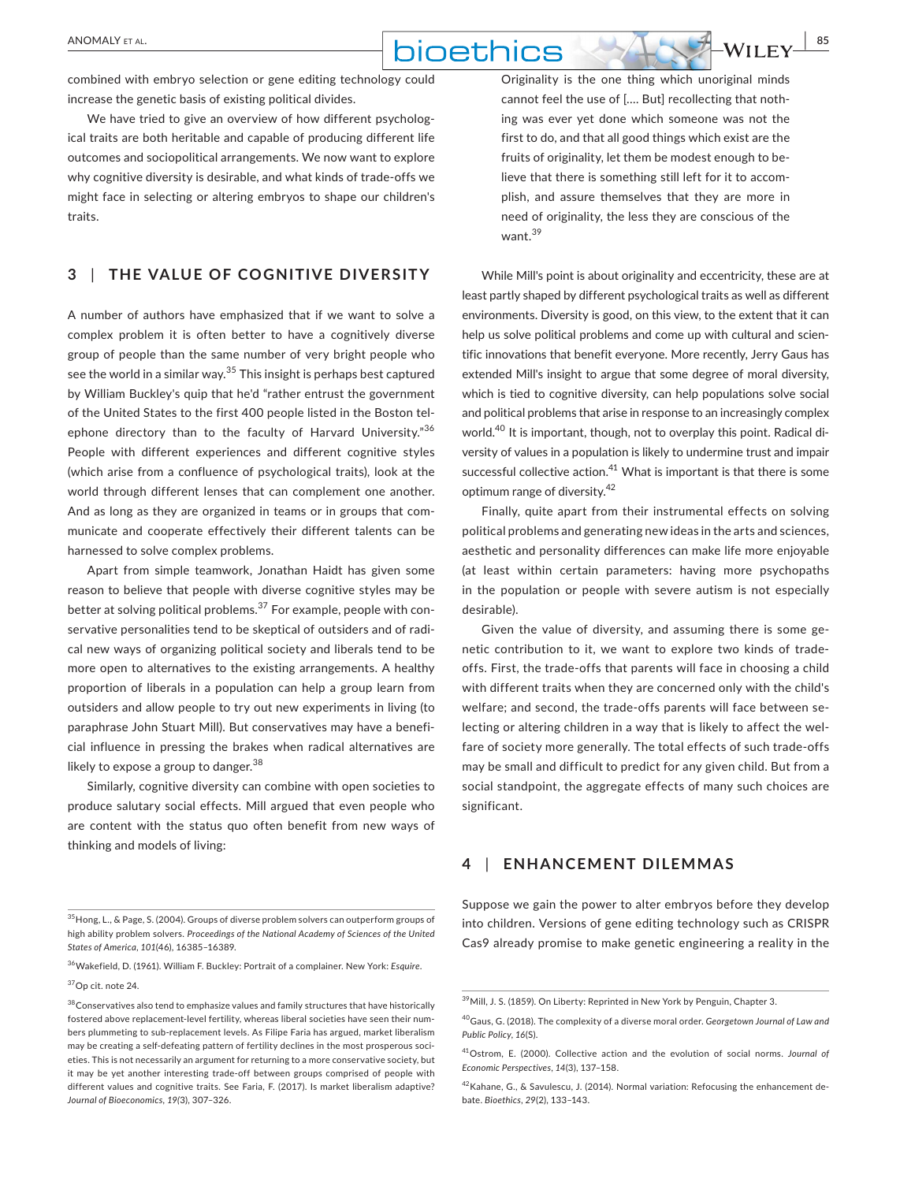combined with embryo selection or gene editing technology could increase the genetic basis of existing political divides.

We have tried to give an overview of how different psychological traits are both heritable and capable of producing different life outcomes and sociopolitical arrangements. We now want to explore why cognitive diversity is desirable, and what kinds of trade‐offs we might face in selecting or altering embryos to shape our children's traits.

## **3** | **THE VALUE OF COGNITIVE DIVERSITY**

A number of authors have emphasized that if we want to solve a complex problem it is often better to have a cognitively diverse group of people than the same number of very bright people who see the world in a similar way.35  This insight is perhaps best captured by William Buckley's quip that he'd "rather entrust the government of the United States to the first 400 people listed in the Boston tel‐ ephone directory than to the faculty of Harvard University."36 People with different experiences and different cognitive styles (which arise from a confluence of psychological traits), look at the world through different lenses that can complement one another. And as long as they are organized in teams or in groups that com‐ municate and cooperate effectively their different talents can be harnessed to solve complex problems.

Apart from simple teamwork, Jonathan Haidt has given some reason to believe that people with diverse cognitive styles may be better at solving political problems.<sup>37</sup> For example, people with conservative personalities tend to be skeptical of outsiders and of radi‐ cal new ways of organizing political society and liberals tend to be more open to alternatives to the existing arrangements. A healthy proportion of liberals in a population can help a group learn from outsiders and allow people to try out new experiments in living (to paraphrase John Stuart Mill). But conservatives may have a benefi‐ cial influence in pressing the brakes when radical alternatives are likely to expose a group to danger.<sup>38</sup>

Similarly, cognitive diversity can combine with open societies to produce salutary social effects. Mill argued that even people who are content with the status quo often benefit from new ways of thinking and models of living:

37 Op cit. note 24.

Originality is the one thing which unoriginal minds cannot feel the use of [.… But] recollecting that noth‐ ing was ever yet done which someone was not the first to do, and that all good things which exist are the fruits of originality, let them be modest enough to be‐ lieve that there is something still left for it to accom‐ plish, and assure themselves that they are more in need of originality, the less they are conscious of the want.<sup>39</sup>

While Mill's point is about originality and eccentricity, these are at least partly shaped by different psychological traits as well as different environments. Diversity is good, on this view, to the extent that it can help us solve political problems and come up with cultural and scientific innovations that benefit everyone. More recently, Jerry Gaus has extended Mill's insight to argue that some degree of moral diversity, which is tied to cognitive diversity, can help populations solve social and political problems that arise in response to an increasingly complex world.<sup>40</sup> It is important, though, not to overplay this point. Radical diversity of values in a population is likely to undermine trust and impair successful collective action.<sup>41</sup> What is important is that there is some optimum range of diversity.<sup>42</sup>

Finally, quite apart from their instrumental effects on solving political problems and generating new ideas in the arts and sciences, aesthetic and personality differences can make life more enjoyable (at least within certain parameters: having more psychopaths in the population or people with severe autism is not especially desirable).

Given the value of diversity, and assuming there is some ge‐ netic contribution to it, we want to explore two kinds of trade‐ offs. First, the trade‐offs that parents will face in choosing a child with different traits when they are concerned only with the child's welfare; and second, the trade‐offs parents will face between se‐ lecting or altering children in a way that is likely to affect the wel‐ fare of society more generally. The total effects of such trade‐offs may be small and difficult to predict for any given child. But from a social standpoint, the aggregate effects of many such choices are significant.

## **4** | **ENHANCEMENT DILEMMAS**

Suppose we gain the power to alter embryos before they develop into children. Versions of gene editing technology such as CRISPR Cas9 already promise to make genetic engineering a reality in the

<sup>35</sup>Hong, L., & Page, S. (2004). Groups of diverse problem solvers can outperform groups of high ability problem solvers. *Proceedings of the National Academy of Sciences of the United States of America*, *101*(46), 16385–16389.

<sup>36</sup>Wakefield, D. (1961). William F. Buckley: Portrait of a complainer. New York: *Esquire*.

 $^{38}$  Conservatives also tend to emphasize values and family structures that have historically fostered above replacement‐level fertility, whereas liberal societies have seen their num‐ bers plummeting to sub-replacement levels. As Filipe Faria has argued, market liberalism may be creating a self-defeating pattern of fertility declines in the most prosperous societies. This is not necessarily an argument for returning to a more conservative society, but it may be yet another interesting trade‐off between groups comprised of people with different values and cognitive traits. See Faria, F. (2017). Is market liberalism adaptive? *Journal of Bioeconomics, 19(*3), 307–326.

<sup>39</sup> Mill, J. S. (1859). On Liberty: Reprinted in New York by Penguin, Chapter 3.

<sup>40</sup> Gaus, G. (2018). The complexity of a diverse moral order. *Georgetown Journal of Law and Public Policy*, *16*(S).

<sup>41</sup> Ostrom, E. (2000). Collective action and the evolution of social norms. *Journal of Economic Perspectives*, *14*(3), 137–158.

<sup>42</sup> Kahane, G., & Savulescu, J. (2014). Normal variation: Refocusing the enhancement de‐ bate. *Bioethics*, *29*(2), 133–143.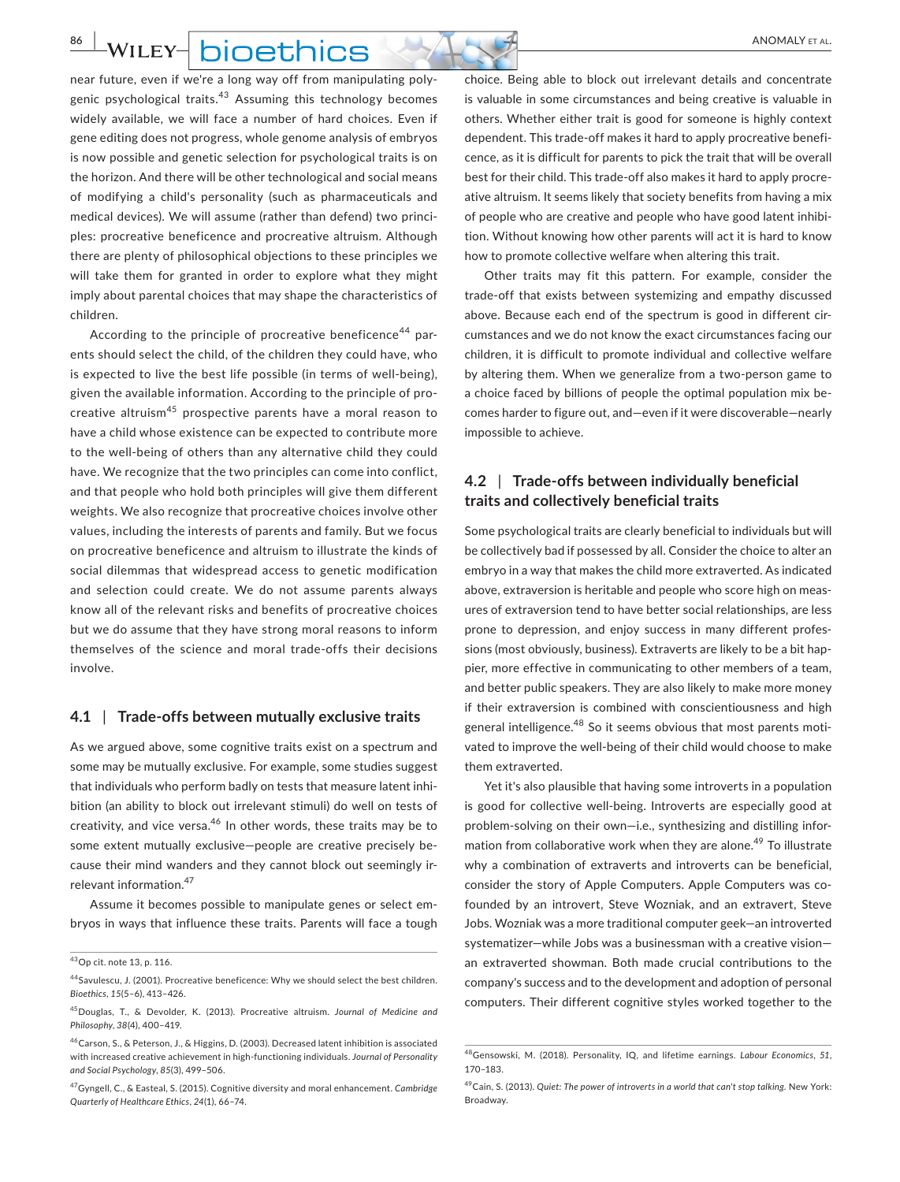**86 WILEY- DIOETHICS** 

near future, even if we're a long way off from manipulating poly‐ genic psychological traits.<sup>43</sup> Assuming this technology becomes widely available, we will face a number of hard choices. Even if gene editing does not progress, whole genome analysis of embryos is now possible and genetic selection for psychological traits is on the horizon. And there will be other technological and social means of modifying a child's personality (such as pharmaceuticals and medical devices). We will assume (rather than defend) two princi‐ ples: procreative beneficence and procreative altruism. Although there are plenty of philosophical objections to these principles we will take them for granted in order to explore what they might imply about parental choices that may shape the characteristics of children.

According to the principle of procreative beneficence<sup>44</sup> parents should select the child, of the children they could have, who is expected to live the best life possible (in terms of well-being), given the available information. According to the principle of pro‐ creative altruism45  prospective parents have a moral reason to have a child whose existence can be expected to contribute more to the well‐being of others than any alternative child they could have. We recognize that the two principles can come into conflict, and that people who hold both principles will give them different weights. We also recognize that procreative choices involve other values, including the interests of parents and family. But we focus on procreative beneficence and altruism to illustrate the kinds of social dilemmas that widespread access to genetic modification and selection could create. We do not assume parents always know all of the relevant risks and benefits of procreative choices but we do assume that they have strong moral reasons to inform themselves of the science and moral trade‐offs their decisions involve.

#### **4.1** | **Trade‐offs between mutually exclusive traits**

As we argued above, some cognitive traits exist on a spectrum and some may be mutually exclusive. For example, some studies suggest that individuals who perform badly on tests that measure latent inhi‐ bition (an ability to block out irrelevant stimuli) do well on tests of creativity, and vice versa.<sup>46</sup> In other words, these traits may be to some extent mutually exclusive-people are creative precisely because their mind wanders and they cannot block out seemingly ir‐ relevant information.<sup>47</sup>

Assume it becomes possible to manipulate genes or select em‐ bryos in ways that influence these traits. Parents will face a tough choice. Being able to block out irrelevant details and concentrate is valuable in some circumstances and being creative is valuable in others. Whether either trait is good for someone is highly context dependent. This trade‐off makes it hard to apply procreative benefi‐ cence, as it is difficult for parents to pick the trait that will be overall best for their child. This trade‐off also makes it hard to apply procre‐ ative altruism. It seems likely that society benefits from having a mix of people who are creative and people who have good latent inhibi‐ tion. Without knowing how other parents will act it is hard to know how to promote collective welfare when altering this trait.

Other traits may fit this pattern. For example, consider the trade‐off that exists between systemizing and empathy discussed above. Because each end of the spectrum is good in different cir‐ cumstances and we do not know the exact circumstances facing our children, it is difficult to promote individual and collective welfare by altering them. When we generalize from a two‐person game to a choice faced by billions of people the optimal population mix be‐ comes harder to figure out, and—even if it were discoverable—nearly impossible to achieve.

## **4.2** | **Trade‐offs between individually beneficial traits and collectively beneficial traits**

Some psychological traits are clearly beneficial to individuals but will be collectively bad if possessed by all. Consider the choice to alter an embryo in a way that makes the child more extraverted. As indicated above, extraversion is heritable and people who score high on measures of extraversion tend to have better social relationships, are less prone to depression, and enjoy success in many different profes‐ sions (most obviously, business). Extraverts are likely to be a bit happier, more effective in communicating to other members of a team, and better public speakers. They are also likely to make more money if their extraversion is combined with conscientiousness and high general intelligence.<sup>48</sup> So it seems obvious that most parents motivated to improve the well‐being of their child would choose to make them extraverted.

Yet it's also plausible that having some introverts in a population is good for collective well-being. Introverts are especially good at problem-solving on their own-i.e., synthesizing and distilling information from collaborative work when they are alone.<sup>49</sup> To illustrate why a combination of extraverts and introverts can be beneficial, consider the story of Apple Computers. Apple Computers was co‐ founded by an introvert, Steve Wozniak, and an extravert, Steve Jobs. Wozniak was a more traditional computer geek—an introverted systematizer—while Jobs was a businessman with a creative vision an extraverted showman. Both made crucial contributions to the company's success and to the development and adoption of personal computers. Their different cognitive styles worked together to the

<sup>43</sup> Op cit. note 13, p. 116.

<sup>44</sup> Savulescu, J. (2001). Procreative beneficence: Why we should select the best children. *Bioethics*, *15*(5–6), 413–426.

<sup>45</sup>Douglas, T., & Devolder, K. (2013). Procreative altruism. *Journal of Medicine and Philosophy*, *38*(4), 400–419.

<sup>46</sup>Carson, S., & Peterson, J., & Higgins, D. (2003). Decreased latent inhibition is associated with increased creative achievement in high‐functioning individuals. *Journal of Personality and Social Psychology*, *85*(3), 499–506.

<sup>47</sup>Gyngell, C., & Easteal, S. (2015). Cognitive diversity and moral enhancement. *Cambridge Quarterly of Healthcare Ethics*, *24*(1), 66–74.

<sup>48</sup> Gensowski, M. (2018). Personality, IQ, and lifetime earnings. *Labour Economics*, *51*, 170–183.

<sup>49</sup> Cain, S. (2013). *Quiet: The power of introverts in a world that can't stop talking*. New York: Broadway.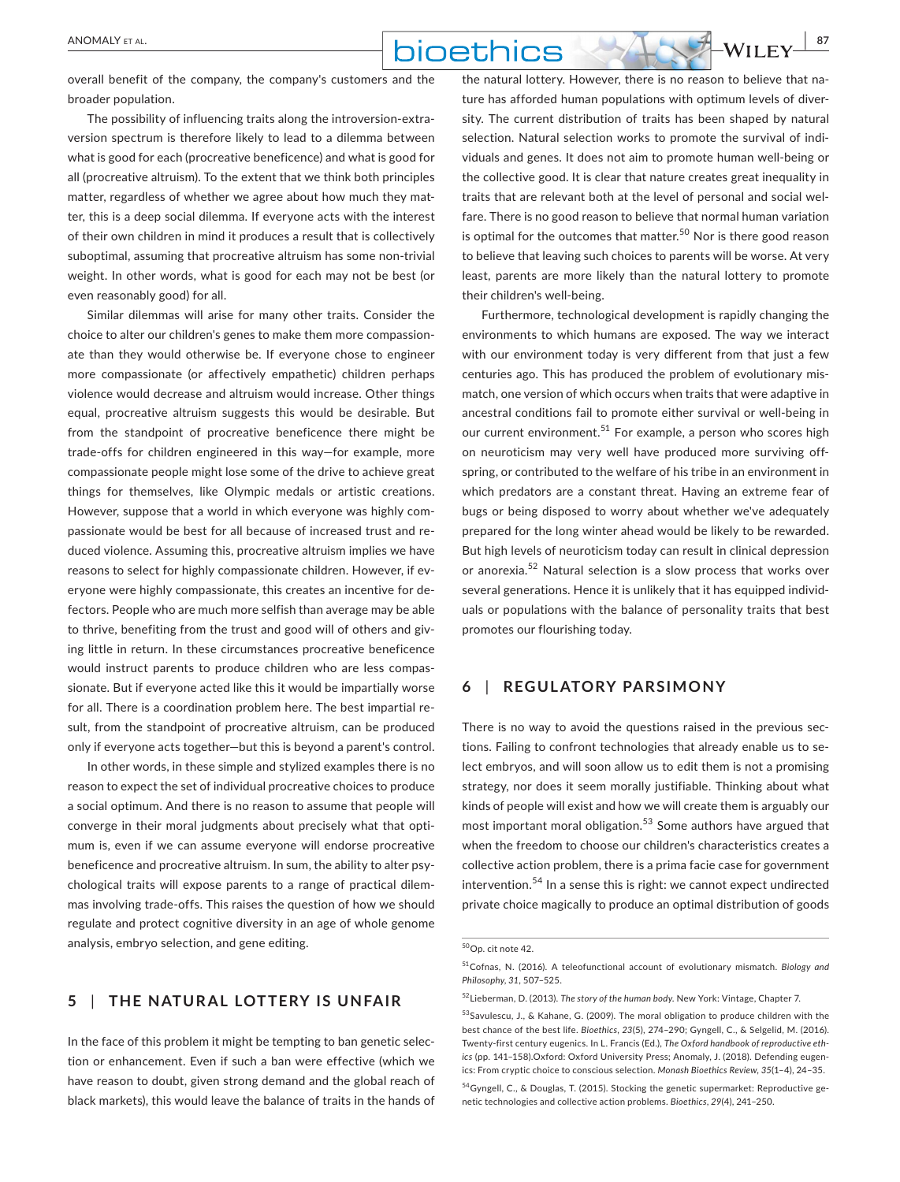overall benefit of the company, the company's customers and the broader population.

The possibility of influencing traits along the introversion‐extra‐ version spectrum is therefore likely to lead to a dilemma between what is good for each (procreative beneficence) and what is good for all (procreative altruism). To the extent that we think both principles matter, regardless of whether we agree about how much they matter, this is a deep social dilemma. If everyone acts with the interest of their own children in mind it produces a result that is collectively suboptimal, assuming that procreative altruism has some non-trivial weight. In other words, what is good for each may not be best (or even reasonably good) for all.

Similar dilemmas will arise for many other traits. Consider the choice to alter our children's genes to make them more compassion‐ ate than they would otherwise be. If everyone chose to engineer more compassionate (or affectively empathetic) children perhaps violence would decrease and altruism would increase. Other things equal, procreative altruism suggests this would be desirable. But from the standpoint of procreative beneficence there might be trade‐offs for children engineered in this way—for example, more compassionate people might lose some of the drive to achieve great things for themselves, like Olympic medals or artistic creations. However, suppose that a world in which everyone was highly com‐ passionate would be best for all because of increased trust and re‐ duced violence. Assuming this, procreative altruism implies we have reasons to select for highly compassionate children. However, if everyone were highly compassionate, this creates an incentive for de‐ fectors. People who are much more selfish than average may be able to thrive, benefiting from the trust and good will of others and giving little in return. In these circumstances procreative beneficence would instruct parents to produce children who are less compas‐ sionate. But if everyone acted like this it would be impartially worse for all. There is a coordination problem here. The best impartial re‐ sult, from the standpoint of procreative altruism, can be produced only if everyone acts together—but this is beyond a parent's control.

In other words, in these simple and stylized examples there is no reason to expect the set of individual procreative choices to produce a social optimum. And there is no reason to assume that people will converge in their moral judgments about precisely what that opti‐ mum is, even if we can assume everyone will endorse procreative beneficence and procreative altruism. In sum, the ability to alter psychological traits will expose parents to a range of practical dilem‐ mas involving trade‐offs. This raises the question of how we should regulate and protect cognitive diversity in an age of whole genome analysis, embryo selection, and gene editing.

## **5** | **THE NATURAL LOTTERY IS UNFAIR**

In the face of this problem it might be tempting to ban genetic selec‐ tion or enhancement. Even if such a ban were effective (which we have reason to doubt, given strong demand and the global reach of black markets), this would leave the balance of traits in the hands of the natural lottery. However, there is no reason to believe that na‐ ture has afforded human populations with optimum levels of diver‐ sity. The current distribution of traits has been shaped by natural selection. Natural selection works to promote the survival of individuals and genes. It does not aim to promote human well‐being or the collective good. It is clear that nature creates great inequality in traits that are relevant both at the level of personal and social wel‐ fare. There is no good reason to believe that normal human variation is optimal for the outcomes that matter.<sup>50</sup> Nor is there good reason to believe that leaving such choices to parents will be worse. At very least, parents are more likely than the natural lottery to promote their children's well‐being.

Furthermore, technological development is rapidly changing the environments to which humans are exposed. The way we interact with our environment today is very different from that just a few centuries ago. This has produced the problem of evolutionary mis‐ match, one version of which occurs when traits that were adaptive in ancestral conditions fail to promote either survival or well‐being in our current environment.<sup>51</sup> For example, a person who scores high on neuroticism may very well have produced more surviving off‐ spring, or contributed to the welfare of his tribe in an environment in which predators are a constant threat. Having an extreme fear of bugs or being disposed to worry about whether we've adequately prepared for the long winter ahead would be likely to be rewarded. But high levels of neuroticism today can result in clinical depression or anorexia.<sup>52</sup> Natural selection is a slow process that works over several generations. Hence it is unlikely that it has equipped individ‐ uals or populations with the balance of personality traits that best promotes our flourishing today.

## **6** | **REGULATORY PARSIMONY**

There is no way to avoid the questions raised in the previous sec‐ tions. Failing to confront technologies that already enable us to se‐ lect embryos, and will soon allow us to edit them is not a promising strategy, nor does it seem morally justifiable. Thinking about what kinds of people will exist and how we will create them is arguably our most important moral obligation.53  Some authors have argued that when the freedom to choose our children's characteristics creates a collective action problem, there is a prima facie case for government intervention.54  In a sense this is right: we cannot expect undirected private choice magically to produce an optimal distribution of goods

<sup>50</sup>Op. cit note 42.

<sup>51</sup>Cofnas, N. (2016). A teleofunctional account of evolutionary mismatch. *Biology and Philosophy*, *31*, 507–525.

<sup>52</sup>Lieberman, D. (2013). *The story of the human body*. New York: Vintage, Chapter 7.

<sup>53</sup>Savulescu, J., & Kahane, G. (2009). The moral obligation to produce children with the best chance of the best life. *Bioethics*, *23*(5), 274–290; Gyngell, C., & Selgelid, M. (2016). Twenty‐first century eugenics. In L. Francis (Ed.), *The Oxford handbook of reproductive ethics* (pp. 141–158).Oxford: Oxford University Press; Anomaly, J. (2018). Defending eugen‐ ics: From cryptic choice to conscious selection. *Monash Bioethics Review*, *35*(1–4), 24–35. <sup>54</sup> Gyngell, C., & Douglas, T. (2015). Stocking the genetic supermarket: Reproductive ge-

netic technologies and collective action problems. *Bioethics*, *29*(4), 241–250.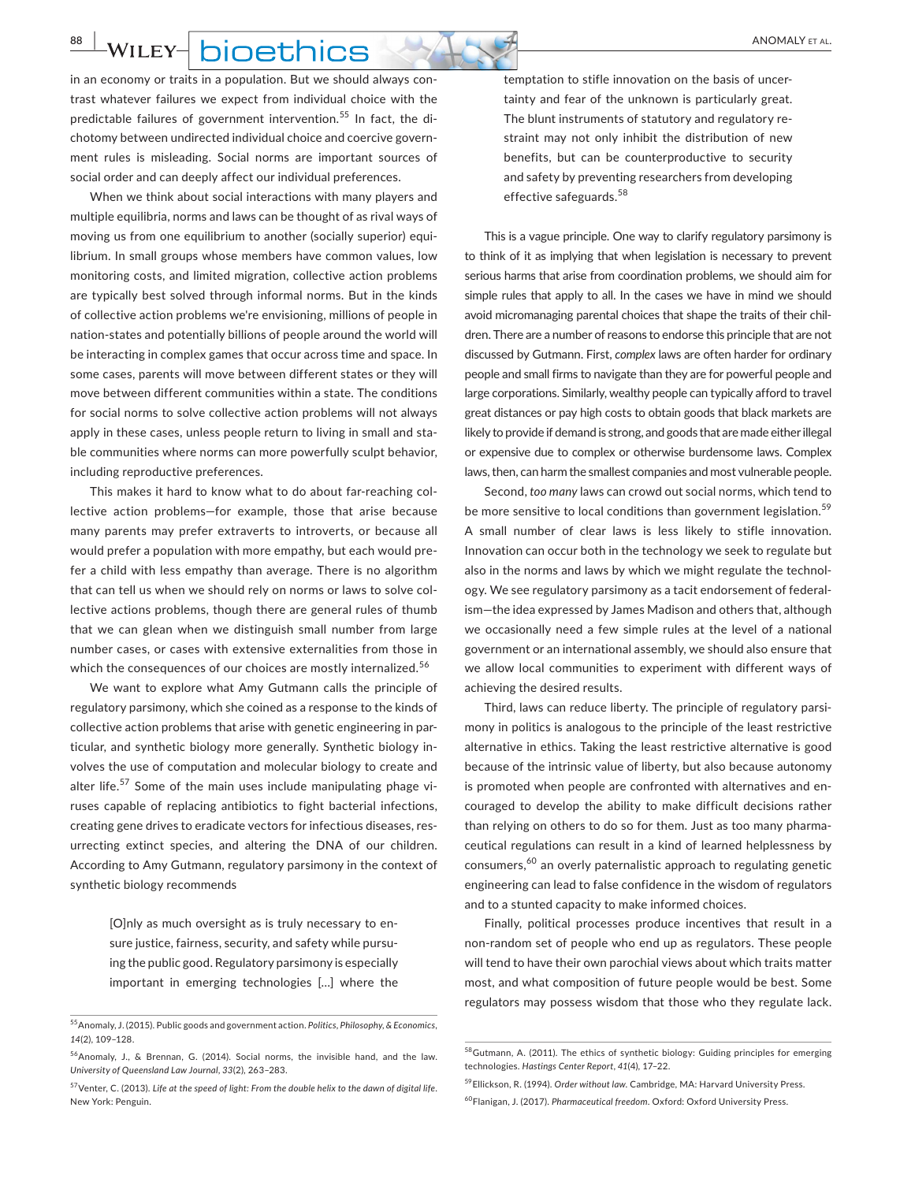**88 WILEY- DIOETHICS** 

in an economy or traits in a population. But we should always contrast whatever failures we expect from individual choice with the predictable failures of government intervention.<sup>55</sup> In fact, the dichotomy between undirected individual choice and coercive govern‐ ment rules is misleading. Social norms are important sources of social order and can deeply affect our individual preferences.

When we think about social interactions with many players and multiple equilibria, norms and laws can be thought of as rival ways of moving us from one equilibrium to another (socially superior) equi‐ librium. In small groups whose members have common values, low monitoring costs, and limited migration, collective action problems are typically best solved through informal norms. But in the kinds of collective action problems we're envisioning, millions of people in nation‐states and potentially billions of people around the world will be interacting in complex games that occur across time and space. In some cases, parents will move between different states or they will move between different communities within a state. The conditions for social norms to solve collective action problems will not always apply in these cases, unless people return to living in small and stable communities where norms can more powerfully sculpt behavior, including reproductive preferences.

This makes it hard to know what to do about far-reaching collective action problems—for example, those that arise because many parents may prefer extraverts to introverts, or because all would prefer a population with more empathy, but each would pre‐ fer a child with less empathy than average. There is no algorithm that can tell us when we should rely on norms or laws to solve col‐ lective actions problems, though there are general rules of thumb that we can glean when we distinguish small number from large number cases, or cases with extensive externalities from those in which the consequences of our choices are mostly internalized.<sup>56</sup>

We want to explore what Amy Gutmann calls the principle of regulatory parsimony, which she coined as a response to the kinds of collective action problems that arise with genetic engineering in particular, and synthetic biology more generally. Synthetic biology in‐ volves the use of computation and molecular biology to create and alter life.<sup>57</sup> Some of the main uses include manipulating phage viruses capable of replacing antibiotics to fight bacterial infections, creating gene drives to eradicate vectors for infectious diseases, res‐ urrecting extinct species, and altering the DNA of our children. According to Amy Gutmann, regulatory parsimony in the context of synthetic biology recommends

> [O]nly as much oversight as is truly necessary to en‐ sure justice, fairness, security, and safety while pursuing the public good. Regulatory parsimony is especially important in emerging technologies […] where the

temptation to stifle innovation on the basis of uncer‐ tainty and fear of the unknown is particularly great. The blunt instruments of statutory and regulatory re‐ straint may not only inhibit the distribution of new benefits, but can be counterproductive to security and safety by preventing researchers from developing effective safeguards.<sup>58</sup>

This is a vague principle. One way to clarify regulatory parsimony is to think of it as implying that when legislation is necessary to prevent serious harms that arise from coordination problems, we should aim for simple rules that apply to all. In the cases we have in mind we should avoid micromanaging parental choices that shape the traits of their chil‐ dren. There are a number of reasons to endorse this principle that are not discussed by Gutmann. First, *complex* laws are often harder for ordinary people and small firms to navigate than they are for powerful people and large corporations. Similarly, wealthy people can typically afford to travel great distances or pay high costs to obtain goods that black markets are likely to provide if demand is strong, and goods that are made either illegal or expensive due to complex or otherwise burdensome laws. Complex laws, then, can harm the smallest companies and most vulnerable people.

Second, *too many* laws can crowd out social norms, which tend to be more sensitive to local conditions than government legislation.<sup>59</sup> A small number of clear laws is less likely to stifle innovation. Innovation can occur both in the technology we seek to regulate but also in the norms and laws by which we might regulate the technol‐ ogy. We see regulatory parsimony as a tacit endorsement of federal‐ ism—the idea expressed by James Madison and others that, although we occasionally need a few simple rules at the level of a national government or an international assembly, we should also ensure that we allow local communities to experiment with different ways of achieving the desired results.

Third, laws can reduce liberty. The principle of regulatory parsi‐ mony in politics is analogous to the principle of the least restrictive alternative in ethics. Taking the least restrictive alternative is good because of the intrinsic value of liberty, but also because autonomy is promoted when people are confronted with alternatives and encouraged to develop the ability to make difficult decisions rather than relying on others to do so for them. Just as too many pharma‐ ceutical regulations can result in a kind of learned helplessness by consumers,60  an overly paternalistic approach to regulating genetic engineering can lead to false confidence in the wisdom of regulators and to a stunted capacity to make informed choices.

Finally, political processes produce incentives that result in a non‐random set of people who end up as regulators. These people will tend to have their own parochial views about which traits matter most, and what composition of future people would be best. Some regulators may possess wisdom that those who they regulate lack.

<sup>55</sup>Anomaly, J. (2015). Public goods and government action. *Politics, Philosophy, & Economics*, *14*(2), 109–128.

<sup>56</sup>Anomaly, J., & Brennan, G. (2014). Social norms, the invisible hand, and the law. *University of Queensland Law Journal*, *33*(2), 263–283.

<sup>57</sup>Venter, C. (2013). *Life at the speed of light: From the double helix to the dawn of digital life*. New York: Penguin.

<sup>58</sup>Gutmann, A. (2011). The ethics of synthetic biology: Guiding principles for emerging technologies. *Hastings Center Report*, *41*(4), 17–22.

<sup>59</sup>Ellickson, R. (1994). *Order without law*. Cambridge, MA: Harvard University Press. 60 Flanigan, J. (2017). *Pharmaceutical freedom*. Oxford: Oxford University Press.